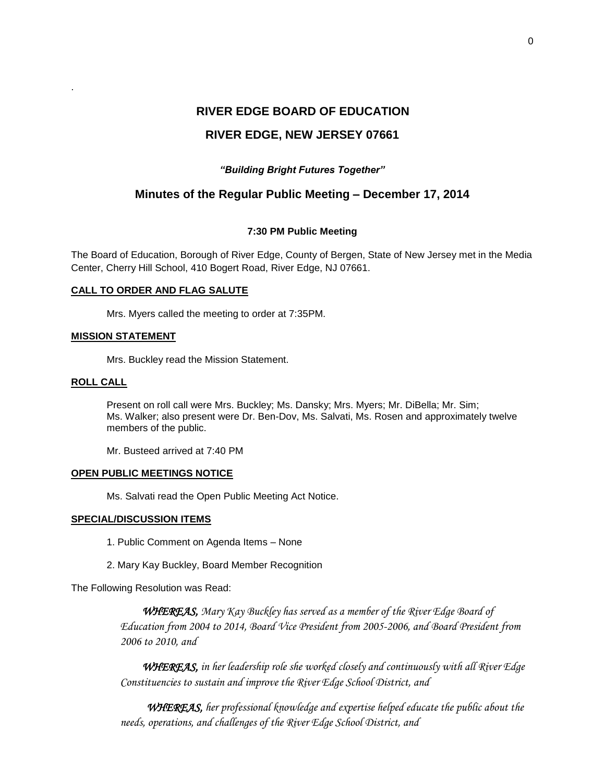## **RIVER EDGE, NEW JERSEY 07661**

### *"Building Bright Futures Together"*

## **Minutes of the Regular Public Meeting – December 17, 2014**

### **7:30 PM Public Meeting**

The Board of Education, Borough of River Edge, County of Bergen, State of New Jersey met in the Media Center, Cherry Hill School, 410 Bogert Road, River Edge, NJ 07661.

### **CALL TO ORDER AND FLAG SALUTE**

Mrs. Myers called the meeting to order at 7:35PM.

### **MISSION STATEMENT**

Mrs. Buckley read the Mission Statement.

### **ROLL CALL**

.

Present on roll call were Mrs. Buckley; Ms. Dansky; Mrs. Myers; Mr. DiBella; Mr. Sim; Ms. Walker; also present were Dr. Ben-Dov, Ms. Salvati, Ms. Rosen and approximately twelve members of the public.

Mr. Busteed arrived at 7:40 PM

### **OPEN PUBLIC MEETINGS NOTICE**

Ms. Salvati read the Open Public Meeting Act Notice.

### **SPECIAL/DISCUSSION ITEMS**

- 1. Public Comment on Agenda Items None
- 2. Mary Kay Buckley, Board Member Recognition

The Following Resolution was Read:

*WHEREAS, Mary Kay Buckley has served as a member of the River Edge Board of Education from 2004 to 2014, Board Vice President from 2005-2006, and Board President from 2006 to 2010, and* 

 *WHEREAS, in her leadership role she worked closely and continuously with all River Edge Constituencies to sustain and improve the River Edge School District, and*

*WHEREAS, her professional knowledge and expertise helped educate the public about the needs, operations, and challenges of the River Edge School District, and*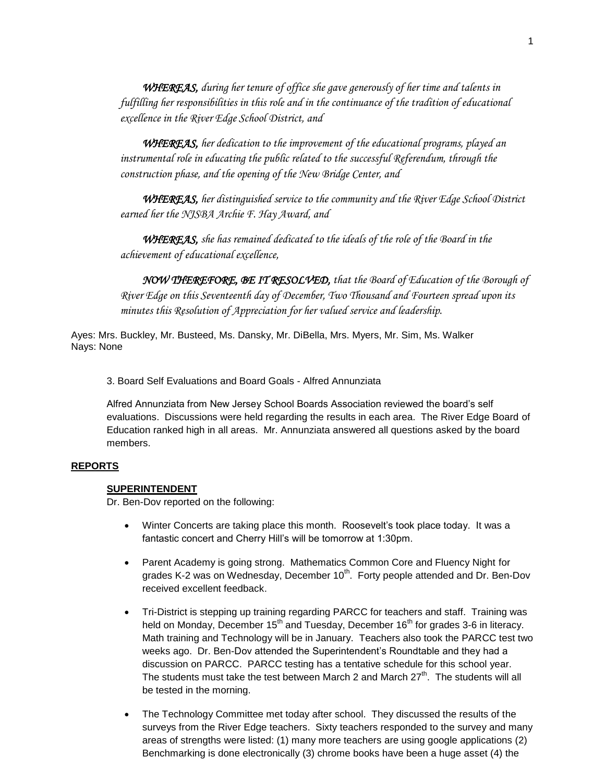*WHEREAS, during her tenure of office she gave generously of her time and talents in fulfilling her responsibilities in this role and in the continuance of the tradition of educational excellence in the River Edge School District, and*

 *WHEREAS, her dedication to the improvement of the educational programs, played an instrumental role in educating the public related to the successful Referendum, through the construction phase, and the opening of the New Bridge Center, and*

*WHEREAS, her distinguished service to the community and the River Edge School District earned her the NJSBA Archie F. Hay Award, and*

*WHEREAS, she has remained dedicated to the ideals of the role of the Board in the achievement of educational excellence,*

 *NOW THEREFORE, BE IT RESOLVED, that the Board of Education of the Borough of River Edge on this Seventeenth day of December, Two Thousand and Fourteen spread upon its minutes this Resolution of Appreciation for her valued service and leadership.*

Ayes: Mrs. Buckley, Mr. Busteed, Ms. Dansky, Mr. DiBella, Mrs. Myers, Mr. Sim, Ms. Walker Nays: None

3. Board Self Evaluations and Board Goals - Alfred Annunziata

Alfred Annunziata from New Jersey School Boards Association reviewed the board's self evaluations. Discussions were held regarding the results in each area. The River Edge Board of Education ranked high in all areas. Mr. Annunziata answered all questions asked by the board members.

### **REPORTS**

### **SUPERINTENDENT**

Dr. Ben-Dov reported on the following:

- Winter Concerts are taking place this month. Roosevelt's took place today. It was a fantastic concert and Cherry Hill's will be tomorrow at 1:30pm.
- Parent Academy is going strong. Mathematics Common Core and Fluency Night for grades K-2 was on Wednesday, December 10<sup>th</sup>. Forty people attended and Dr. Ben-Dov received excellent feedback.
- Tri-District is stepping up training regarding PARCC for teachers and staff. Training was held on Monday, December  $15<sup>th</sup>$  and Tuesday, December  $16<sup>th</sup>$  for grades 3-6 in literacy. Math training and Technology will be in January. Teachers also took the PARCC test two weeks ago. Dr. Ben-Dov attended the Superintendent's Roundtable and they had a discussion on PARCC. PARCC testing has a tentative schedule for this school year. The students must take the test between March 2 and March  $27<sup>th</sup>$ . The students will all be tested in the morning.
- The Technology Committee met today after school. They discussed the results of the surveys from the River Edge teachers. Sixty teachers responded to the survey and many areas of strengths were listed: (1) many more teachers are using google applications (2) Benchmarking is done electronically (3) chrome books have been a huge asset (4) the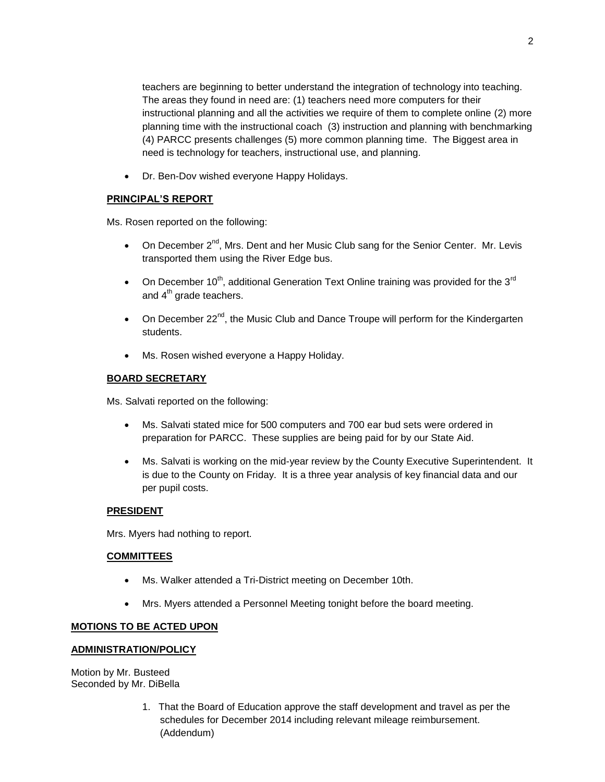teachers are beginning to better understand the integration of technology into teaching. The areas they found in need are: (1) teachers need more computers for their instructional planning and all the activities we require of them to complete online (2) more planning time with the instructional coach (3) instruction and planning with benchmarking (4) PARCC presents challenges (5) more common planning time. The Biggest area in need is technology for teachers, instructional use, and planning.

• Dr. Ben-Dov wished everyone Happy Holidays.

## **PRINCIPAL'S REPORT**

Ms. Rosen reported on the following:

- On December  $2^{nd}$ , Mrs. Dent and her Music Club sang for the Senior Center. Mr. Levis transported them using the River Edge bus.
- On December 10<sup>th</sup>, additional Generation Text Online training was provided for the 3<sup>rd</sup> and  $4<sup>th</sup>$  grade teachers.
- On December  $22<sup>nd</sup>$ , the Music Club and Dance Troupe will perform for the Kindergarten students.
- Ms. Rosen wished everyone a Happy Holiday.

## **BOARD SECRETARY**

Ms. Salvati reported on the following:

- Ms. Salvati stated mice for 500 computers and 700 ear bud sets were ordered in preparation for PARCC. These supplies are being paid for by our State Aid.
- Ms. Salvati is working on the mid-year review by the County Executive Superintendent. It is due to the County on Friday. It is a three year analysis of key financial data and our per pupil costs.

## **PRESIDENT**

Mrs. Myers had nothing to report.

## **COMMITTEES**

- Ms. Walker attended a Tri-District meeting on December 10th.
- Mrs. Myers attended a Personnel Meeting tonight before the board meeting.

## **MOTIONS TO BE ACTED UPON**

# **ADMINISTRATION/POLICY**

Motion by Mr. Busteed Seconded by Mr. DiBella

> 1. That the Board of Education approve the staff development and travel as per the schedules for December 2014 including relevant mileage reimbursement. (Addendum)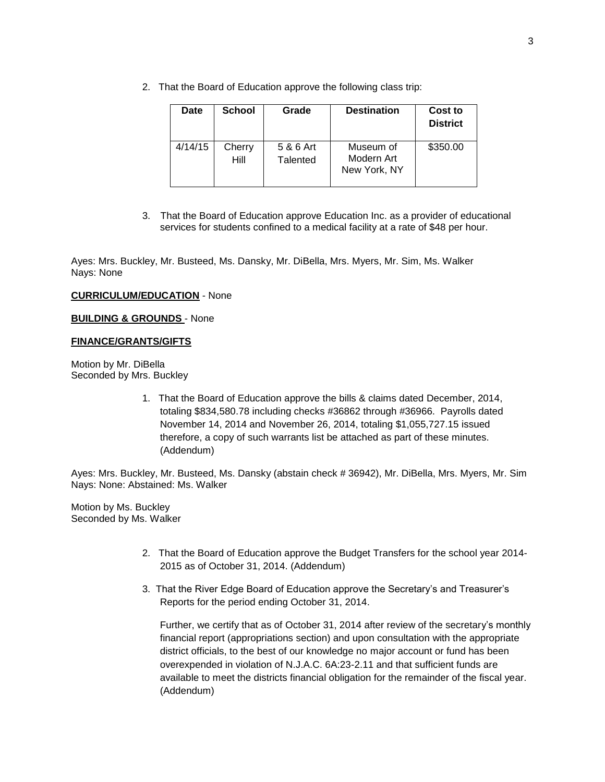2. That the Board of Education approve the following class trip:

| Date    | <b>School</b>  | Grade                 | <b>Destination</b>                      | Cost to<br><b>District</b> |
|---------|----------------|-----------------------|-----------------------------------------|----------------------------|
| 4/14/15 | Cherry<br>Hill | 5 & 6 Art<br>Talented | Museum of<br>Modern Art<br>New York, NY | \$350.00                   |

3. That the Board of Education approve Education Inc. as a provider of educational services for students confined to a medical facility at a rate of \$48 per hour.

Ayes: Mrs. Buckley, Mr. Busteed, Ms. Dansky, Mr. DiBella, Mrs. Myers, Mr. Sim, Ms. Walker Nays: None

### **CURRICULUM/EDUCATION** - None

### **BUILDING & GROUNDS** - None

### **FINANCE/GRANTS/GIFTS**

Motion by Mr. DiBella Seconded by Mrs. Buckley

> 1. That the Board of Education approve the bills & claims dated December, 2014, totaling \$834,580.78 including checks #36862 through #36966. Payrolls dated November 14, 2014 and November 26, 2014, totaling \$1,055,727.15 issued therefore, a copy of such warrants list be attached as part of these minutes. (Addendum)

Ayes: Mrs. Buckley, Mr. Busteed, Ms. Dansky (abstain check # 36942), Mr. DiBella, Mrs. Myers, Mr. Sim Nays: None: Abstained: Ms. Walker

Motion by Ms. Buckley Seconded by Ms. Walker

- 2. That the Board of Education approve the Budget Transfers for the school year 2014- 2015 as of October 31, 2014. (Addendum)
- 3. That the River Edge Board of Education approve the Secretary's and Treasurer's Reports for the period ending October 31, 2014.

Further, we certify that as of October 31, 2014 after review of the secretary's monthly financial report (appropriations section) and upon consultation with the appropriate district officials, to the best of our knowledge no major account or fund has been overexpended in violation of N.J.A.C. 6A:23-2.11 and that sufficient funds are available to meet the districts financial obligation for the remainder of the fiscal year. (Addendum)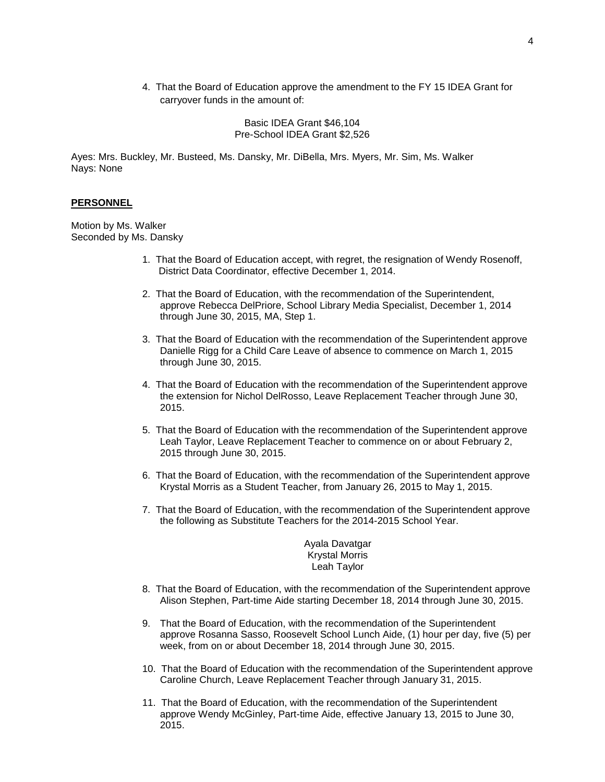4. That the Board of Education approve the amendment to the FY 15 IDEA Grant for carryover funds in the amount of:

> Basic IDEA Grant \$46,104 Pre-School IDEA Grant \$2,526

Ayes: Mrs. Buckley, Mr. Busteed, Ms. Dansky, Mr. DiBella, Mrs. Myers, Mr. Sim, Ms. Walker Nays: None

### **PERSONNEL**

Motion by Ms. Walker Seconded by Ms. Dansky

- 1. That the Board of Education accept, with regret, the resignation of Wendy Rosenoff, District Data Coordinator, effective December 1, 2014.
- 2. That the Board of Education, with the recommendation of the Superintendent, approve Rebecca DelPriore, School Library Media Specialist, December 1, 2014 through June 30, 2015, MA, Step 1.
- 3. That the Board of Education with the recommendation of the Superintendent approve Danielle Rigg for a Child Care Leave of absence to commence on March 1, 2015 through June 30, 2015.
- 4. That the Board of Education with the recommendation of the Superintendent approve the extension for Nichol DelRosso, Leave Replacement Teacher through June 30, 2015.
- 5. That the Board of Education with the recommendation of the Superintendent approve Leah Taylor, Leave Replacement Teacher to commence on or about February 2, 2015 through June 30, 2015.
- 6. That the Board of Education, with the recommendation of the Superintendent approve Krystal Morris as a Student Teacher, from January 26, 2015 to May 1, 2015.
- 7. That the Board of Education, with the recommendation of the Superintendent approve the following as Substitute Teachers for the 2014-2015 School Year.

Ayala Davatgar Krystal Morris Leah Taylor

- 8. That the Board of Education, with the recommendation of the Superintendent approve Alison Stephen, Part-time Aide starting December 18, 2014 through June 30, 2015.
- 9. That the Board of Education, with the recommendation of the Superintendent approve Rosanna Sasso, Roosevelt School Lunch Aide, (1) hour per day, five (5) per week, from on or about December 18, 2014 through June 30, 2015.
- 10. That the Board of Education with the recommendation of the Superintendent approve Caroline Church, Leave Replacement Teacher through January 31, 2015.
- 11. That the Board of Education, with the recommendation of the Superintendent approve Wendy McGinley, Part-time Aide, effective January 13, 2015 to June 30, 2015.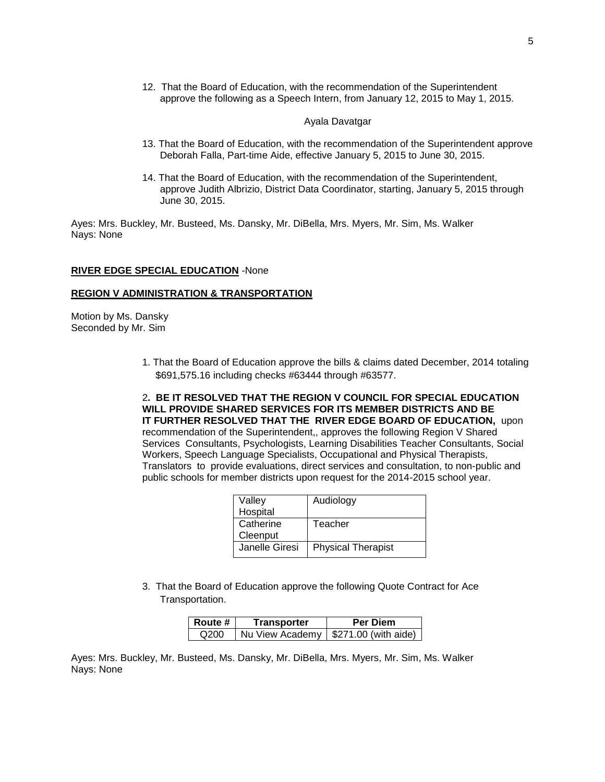12. That the Board of Education, with the recommendation of the Superintendent approve the following as a Speech Intern, from January 12, 2015 to May 1, 2015.

### Ayala Davatgar

- 13. That the Board of Education, with the recommendation of the Superintendent approve Deborah Falla, Part-time Aide, effective January 5, 2015 to June 30, 2015.
- 14. That the Board of Education, with the recommendation of the Superintendent, approve Judith Albrizio, District Data Coordinator, starting, January 5, 2015 through June 30, 2015.

Ayes: Mrs. Buckley, Mr. Busteed, Ms. Dansky, Mr. DiBella, Mrs. Myers, Mr. Sim, Ms. Walker Nays: None

### **RIVER EDGE SPECIAL EDUCATION** -None

### **REGION V ADMINISTRATION & TRANSPORTATION**

Motion by Ms. Dansky Seconded by Mr. Sim

> 1. That the Board of Education approve the bills & claims dated December, 2014 totaling \$691,575.16 including checks #63444 through #63577.

2**. BE IT RESOLVED THAT THE REGION V COUNCIL FOR SPECIAL EDUCATION WILL PROVIDE SHARED SERVICES FOR ITS MEMBER DISTRICTS AND BE IT FURTHER RESOLVED THAT THE RIVER EDGE BOARD OF EDUCATION,** upon recommendation of the Superintendent,, approves the following Region V Shared Services Consultants, Psychologists, Learning Disabilities Teacher Consultants, Social Workers, Speech Language Specialists, Occupational and Physical Therapists, Translators to provide evaluations, direct services and consultation, to non-public and public schools for member districts upon request for the 2014-2015 school year.

| Valley         | Audiology                 |
|----------------|---------------------------|
| Hospital       |                           |
| Catherine      | Teacher                   |
| Cleenput       |                           |
| Janelle Giresi | <b>Physical Therapist</b> |
|                |                           |

3. That the Board of Education approve the following Quote Contract for Ace Transportation.

| ∣ Route #        | Transporter | <b>Per Diem</b>                        |
|------------------|-------------|----------------------------------------|
| Q <sub>200</sub> |             | Nu View Academy   \$271.00 (with aide) |

Ayes: Mrs. Buckley, Mr. Busteed, Ms. Dansky, Mr. DiBella, Mrs. Myers, Mr. Sim, Ms. Walker Nays: None